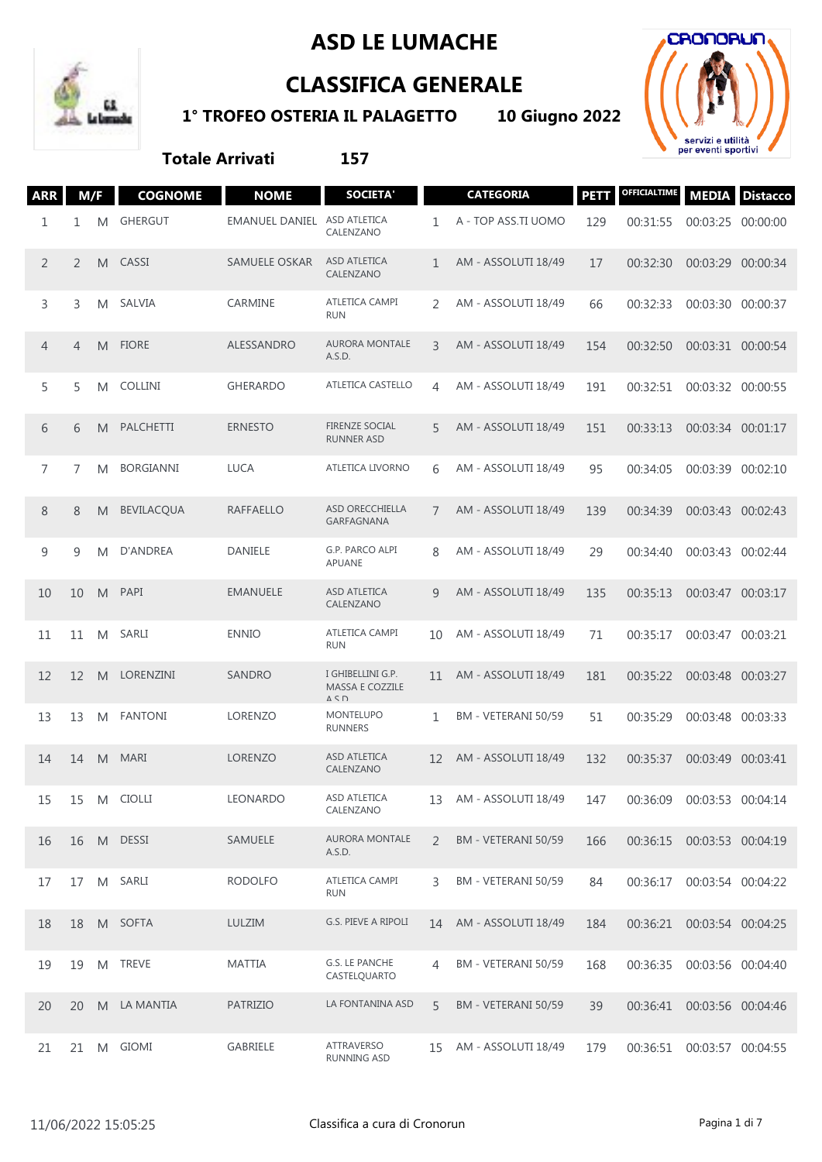## **ASD LE LUMACHE**



## **CLASSIFICA GENERALE**

**1° TROFEO OSTERIA IL PALAGETTO 10 Giugno 2022**



## **Totale Arrivati 157**

| <b>ARR</b>     | M/F            |   | <b>COGNOME</b>    | <b>NOME</b>                 | <b>SOCIETA'</b>                                             |             | <b>CATEGORIA</b>    | <b>PETT</b> | <b>OFFICIALTIME</b> | <b>MEDIA</b>      | <b>Distacco</b> |
|----------------|----------------|---|-------------------|-----------------------------|-------------------------------------------------------------|-------------|---------------------|-------------|---------------------|-------------------|-----------------|
| 1              | 1              | M | <b>GHERGUT</b>    | EMANUEL DANIEL ASD ATLETICA | CALENZANO                                                   | 1           | A - TOP ASS.TI UOMO | 129         | 00:31:55            | 00:03:25          | 00:00:00        |
| $\overline{2}$ | $\overline{2}$ | M | CASSI             | SAMUELE OSKAR               | <b>ASD ATLETICA</b><br>CALENZANO                            | $\mathbf 1$ | AM - ASSOLUTI 18/49 | 17          | 00:32:30            | 00:03:29          | 00:00:34        |
| 3              | 3              | M | SALVIA            | CARMINE                     | ATLETICA CAMPI<br><b>RUN</b>                                | 2           | AM - ASSOLUTI 18/49 | 66          | 00:32:33            | 00:03:30          | 00:00:37        |
| $\overline{4}$ | $\overline{4}$ | M | <b>FIORE</b>      | ALESSANDRO                  | <b>AURORA MONTALE</b><br>A.S.D.                             | 3           | AM - ASSOLUTI 18/49 | 154         | 00:32:50            | 00:03:31 00:00:54 |                 |
| 5              | 5              | M | <b>COLLINI</b>    | <b>GHERARDO</b>             | <b>ATLETICA CASTELLO</b>                                    | 4           | AM - ASSOLUTI 18/49 | 191         | 00:32:51            | 00:03:32 00:00:55 |                 |
| 6              | 6              | M | <b>PALCHETTI</b>  | <b>ERNESTO</b>              | <b>FIRENZE SOCIAL</b><br><b>RUNNER ASD</b>                  | 5           | AM - ASSOLUTI 18/49 | 151         | 00:33:13            | 00:03:34 00:01:17 |                 |
| 7              | 7              | M | <b>BORGIANNI</b>  | <b>LUCA</b>                 | ATLETICA LIVORNO                                            | 6           | AM - ASSOLUTI 18/49 | 95          | 00:34:05            | 00:03:39 00:02:10 |                 |
| 8              | 8              | M | <b>BEVILACQUA</b> | <b>RAFFAELLO</b>            | ASD ORECCHIELLA<br>GARFAGNANA                               | 7           | AM - ASSOLUTI 18/49 | 139         | 00:34:39            | 00:03:43 00:02:43 |                 |
| 9              | 9              | M | D'ANDREA          | DANIELE                     | G.P. PARCO ALPI<br>APUANE                                   | 8           | AM - ASSOLUTI 18/49 | 29          | 00:34:40            | 00:03:43 00:02:44 |                 |
| 10             | 10             | M | PAPI              | <b>EMANUELE</b>             | ASD ATLETICA<br>CALENZANO                                   | 9           | AM - ASSOLUTI 18/49 | 135         | 00:35:13            | 00:03:47 00:03:17 |                 |
| 11             | 11             | M | SARLI             | <b>ENNIO</b>                | ATLETICA CAMPI<br><b>RUN</b>                                | 10          | AM - ASSOLUTI 18/49 | 71          | 00:35:17            | 00:03:47          | 00:03:21        |
| 12             | 12             | M | LORENZINI         | <b>SANDRO</b>               | I GHIBELLINI G.P.<br>MASSA E COZZILE<br>$\Delta$ < $\Gamma$ | 11          | AM - ASSOLUTI 18/49 | 181         | 00:35:22            | 00:03:48 00:03:27 |                 |
| 13             | 13             | M | <b>FANTONI</b>    | LORENZO                     | <b>MONTELUPO</b><br><b>RUNNERS</b>                          | 1           | BM - VETERANI 50/59 | 51          | 00:35:29            | 00:03:48 00:03:33 |                 |
| 14             | 14             | M | <b>MARI</b>       | <b>LORENZO</b>              | ASD ATLETICA<br>CALENZANO                                   | 12          | AM - ASSOLUTI 18/49 | 132         | 00:35:37            | 00:03:49          | 00:03:41        |
| 15             | 15             | M | <b>CIOLLI</b>     | <b>LEONARDO</b>             | <b>ASD ATLETICA</b><br>CALENZANO                            | 13          | AM - ASSOLUTI 18/49 | 147         | 00:36:09            | 00:03:53 00:04:14 |                 |
| 16             | 16             |   | M DESSI           | SAMUELE                     | AURORA MONTALE<br>A.S.D.                                    | 2           | BM - VETERANI 50/59 | 166         | 00:36:15            | 00:03:53 00:04:19 |                 |
| 17             | 17             | M | SARLI             | <b>RODOLFO</b>              | ATLETICA CAMPI<br><b>RUN</b>                                | 3           | BM - VETERANI 50/59 | 84          | 00:36:17            | 00:03:54 00:04:22 |                 |
| 18             | 18             |   | M SOFTA           | LULZIM                      | G.S. PIEVE A RIPOLI                                         | 14          | AM - ASSOLUTI 18/49 | 184         | 00:36:21            | 00:03:54 00:04:25 |                 |
| 19             | 19             | M | <b>TREVE</b>      | <b>MATTIA</b>               | G.S. LE PANCHE<br>CASTELQUARTO                              | 4           | BM - VETERANI 50/59 | 168         | 00:36:35            | 00:03:56 00:04:40 |                 |
| 20             | 20             |   | M LA MANTIA       | <b>PATRIZIO</b>             | LA FONTANINA ASD                                            | 5           | BM - VETERANI 50/59 | 39          | 00:36:41            | 00:03:56 00:04:46 |                 |
| 21             | 21             |   | M GIOMI           | GABRIELE                    | ATTRAVERSO<br>RUNNING ASD                                   | 15          | AM - ASSOLUTI 18/49 | 179         | 00:36:51            | 00:03:57 00:04:55 |                 |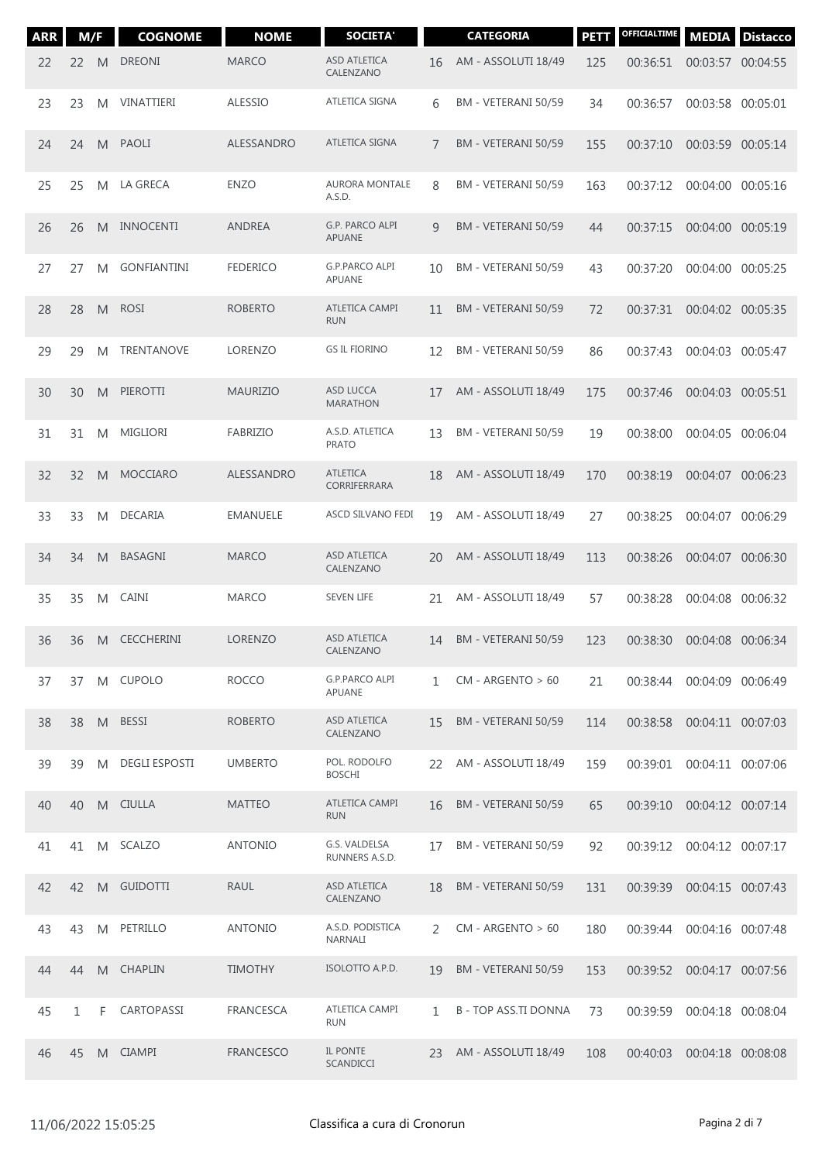| <b>ARR</b> | M/F          |   | <b>COGNOME</b>       | <b>NOME</b>      | <b>SOCIETA'</b>                     |    | <b>CATEGORIA</b>          | <b>PETT</b> | OFFICIALTIME | <b>MEDIA</b>      | <b>Distacco</b> |
|------------|--------------|---|----------------------|------------------|-------------------------------------|----|---------------------------|-------------|--------------|-------------------|-----------------|
| 22         | 22           | M | <b>DREONI</b>        | <b>MARCO</b>     | ASD ATLETICA<br>CALENZANO           | 16 | AM - ASSOLUTI 18/49       | 125         | 00:36:51     | 00:03:57 00:04:55 |                 |
| 23         | 23           | M | VINATTIERI           | <b>ALESSIO</b>   | ATLETICA SIGNA                      | 6  | BM - VETERANI 50/59       | 34          | 00:36:57     | 00:03:58          | 00:05:01        |
| 24         | 24           | M | <b>PAOLI</b>         | ALESSANDRO       | ATLETICA SIGNA                      | 7  | BM - VETERANI 50/59       | 155         | 00:37:10     | 00:03:59          | 00:05:14        |
| 25         | 25           | M | LA GRECA             | <b>ENZO</b>      | <b>AURORA MONTALE</b><br>A.S.D.     | 8  | BM - VETERANI 50/59       | 163         | 00:37:12     | 00:04:00          | 00:05:16        |
| 26         | 26           | M | <b>INNOCENTI</b>     | <b>ANDREA</b>    | G.P. PARCO ALPI<br>APUANE           | 9  | BM - VETERANI 50/59       | 44          | 00:37:15     | 00:04:00          | 00:05:19        |
| 27         | 27           | M | <b>GONFIANTINI</b>   | <b>FEDERICO</b>  | <b>G.P.PARCO ALPI</b><br>APUANE     | 10 | BM - VETERANI 50/59       | 43          | 00:37:20     | 00:04:00          | 00:05:25        |
| 28         | 28           | M | <b>ROSI</b>          | <b>ROBERTO</b>   | ATLETICA CAMPI<br><b>RUN</b>        | 11 | BM - VETERANI 50/59       | 72          | 00:37:31     | 00:04:02 00:05:35 |                 |
| 29         | 29           | M | TRENTANOVE           | LORENZO          | <b>GS IL FIORINO</b>                | 12 | BM - VETERANI 50/59       | 86          | 00:37:43     | 00:04:03          | 00:05:47        |
| 30         | 30           | M | PIEROTTI             | <b>MAURIZIO</b>  | <b>ASD LUCCA</b><br><b>MARATHON</b> | 17 | AM - ASSOLUTI 18/49       | 175         | 00:37:46     | 00:04:03          | 00:05:51        |
| 31         | 31           | M | <b>MIGLIORI</b>      | <b>FABRIZIO</b>  | A.S.D. ATLETICA<br><b>PRATO</b>     | 13 | BM - VETERANI 50/59       | 19          | 00:38:00     | 00:04:05          | 00:06:04        |
| 32         | 32           | M | <b>MOCCIARO</b>      | ALESSANDRO       | <b>ATLETICA</b><br>CORRIFERRARA     | 18 | AM - ASSOLUTI 18/49       | 170         | 00:38:19     | 00:04:07          | 00:06:23        |
| 33         | 33           | M | <b>DECARIA</b>       | <b>EMANUELE</b>  | ASCD SILVANO FEDI                   | 19 | AM - ASSOLUTI 18/49       | 27          | 00:38:25     | 00:04:07 00:06:29 |                 |
| 34         | 34           | M | <b>BASAGNI</b>       | <b>MARCO</b>     | ASD ATLETICA<br>CALENZANO           | 20 | AM - ASSOLUTI 18/49       | 113         | 00:38:26     | 00:04:07          | 00:06:30        |
| 35         | 35           | M | <b>CAINI</b>         | <b>MARCO</b>     | <b>SEVEN LIFE</b>                   | 21 | AM - ASSOLUTI 18/49       | 57          | 00:38:28     | 00:04:08 00:06:32 |                 |
| 36         | 36           | M | <b>CECCHERINI</b>    | <b>LORENZO</b>   | ASD ATLETICA<br>CALENZANO           | 14 | BM - VETERANI 50/59       | 123         | 00:38:30     | 00:04:08 00:06:34 |                 |
| 37         | 37           |   | M CUPOLO             | <b>ROCCO</b>     | G.P.PARCO ALPI<br>APUANE            | 1  | $CM - ARGENTO > 60$       | 21          | 00:38:44     | 00:04:09 00:06:49 |                 |
| 38         | 38           | M | <b>BESSI</b>         | <b>ROBERTO</b>   | ASD ATLETICA<br>CALENZANO           | 15 | BM - VETERANI 50/59       | 114         | 00:38:58     | 00:04:11 00:07:03 |                 |
| 39         | 39           | M | <b>DEGLI ESPOSTI</b> | <b>UMBERTO</b>   | POL. RODOLFO<br><b>BOSCHI</b>       | 22 | AM - ASSOLUTI 18/49       | 159         | 00:39:01     | 00:04:11 00:07:06 |                 |
| 40         | 40           | M | <b>CIULLA</b>        | <b>MATTEO</b>    | <b>ATLETICA CAMPI</b><br><b>RUN</b> | 16 | BM - VETERANI 50/59       | 65          | 00:39:10     | 00:04:12 00:07:14 |                 |
| 41         | 41           |   | M SCALZO             | <b>ANTONIO</b>   | G.S. VALDELSA<br>RUNNERS A.S.D.     | 17 | BM - VETERANI 50/59       | 92          | 00:39:12     | 00:04:12 00:07:17 |                 |
| 42         | 42           | M | <b>GUIDOTTI</b>      | <b>RAUL</b>      | <b>ASD ATLETICA</b><br>CALENZANO    | 18 | BM - VETERANI 50/59       | 131         | 00:39:39     | 00:04:15 00:07:43 |                 |
| 43         | 43           | M | PETRILLO             | <b>ANTONIO</b>   | A.S.D. PODISTICA<br>NARNALI         | 2  | $CM - ARGENTO > 60$       | 180         | 00:39:44     | 00:04:16 00:07:48 |                 |
| 44         | 44           | M | <b>CHAPLIN</b>       | <b>TIMOTHY</b>   | ISOLOTTO A.P.D.                     | 19 | BM - VETERANI 50/59       | 153         | 00:39:52     | 00:04:17 00:07:56 |                 |
| 45         | $\mathbf{1}$ | F | CARTOPASSI           | <b>FRANCESCA</b> | ATLETICA CAMPI<br><b>RUN</b>        | 1  | <b>B-TOP ASS.TI DONNA</b> | 73          | 00:39:59     | 00:04:18 00:08:04 |                 |
| 46         | 45           | M | <b>CIAMPI</b>        | <b>FRANCESCO</b> | IL PONTE<br>SCANDICCI               | 23 | AM - ASSOLUTI 18/49       | 108         | 00:40:03     | 00:04:18 00:08:08 |                 |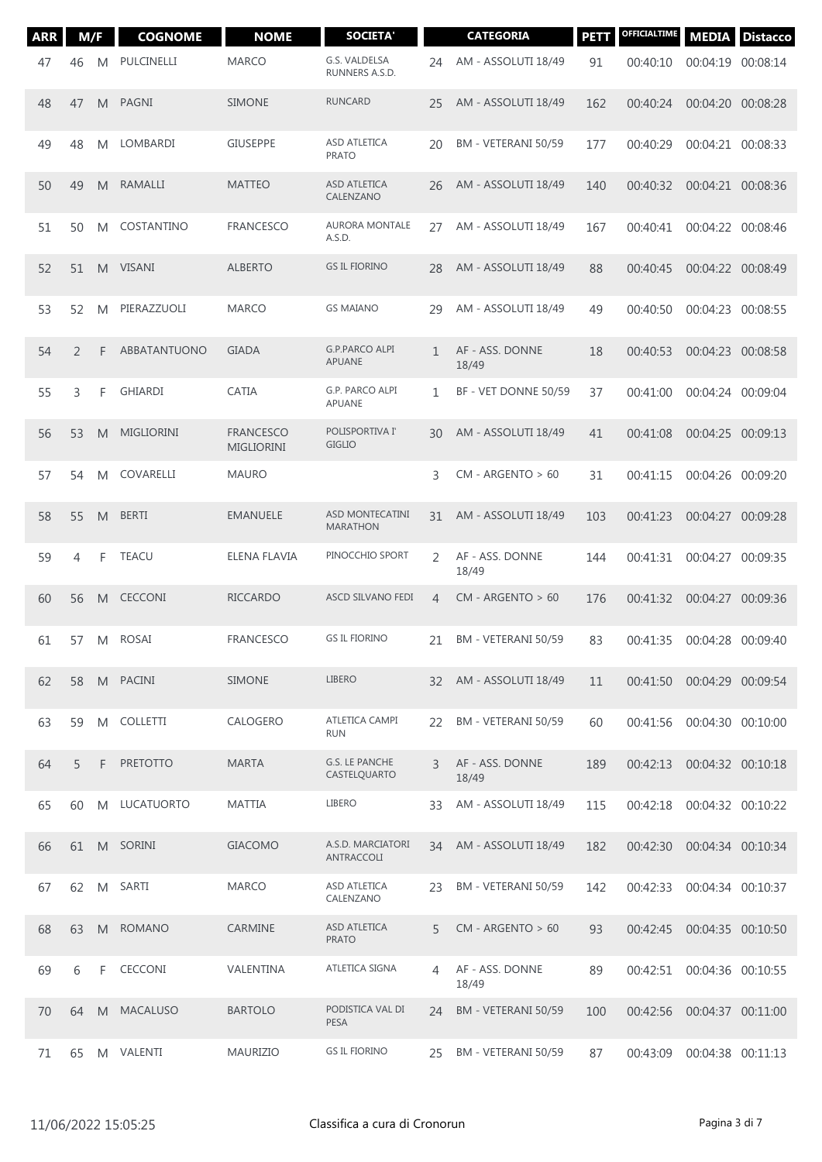| <b>ARR</b> | M/F |                | <b>COGNOME</b>      | <b>NOME</b>                           | <b>SOCIETA'</b>                    |                | <b>CATEGORIA</b>         | <b>PETT</b> | OFFICIALTIME | <b>MEDIA</b>      | <b>Distacco</b> |
|------------|-----|----------------|---------------------|---------------------------------------|------------------------------------|----------------|--------------------------|-------------|--------------|-------------------|-----------------|
| 47         | 46  | M              | PULCINELLI          | <b>MARCO</b>                          | G.S. VALDELSA<br>RUNNERS A.S.D.    | 24             | AM - ASSOLUTI 18/49      | 91          | 00:40:10     | 00:04:19 00:08:14 |                 |
| 48         | 47  | M              | PAGNI               | <b>SIMONE</b>                         | <b>RUNCARD</b>                     | 25             | AM - ASSOLUTI 18/49      | 162         | 00:40:24     | 00:04:20 00:08:28 |                 |
| 49         | 48  | M              | LOMBARDI            | <b>GIUSEPPE</b>                       | ASD ATLETICA<br><b>PRATO</b>       | 20             | BM - VETERANI 50/59      | 177         | 00:40:29     | 00:04:21 00:08:33 |                 |
| 50         | 49  | M              | RAMALLI             | <b>MATTEO</b>                         | ASD ATLETICA<br>CALENZANO          | 26             | AM - ASSOLUTI 18/49      | 140         | 00:40:32     | 00:04:21 00:08:36 |                 |
| 51         | 50  | M              | COSTANTINO          | <b>FRANCESCO</b>                      | <b>AURORA MONTALE</b><br>A.S.D.    | 27             | AM - ASSOLUTI 18/49      | 167         | 00:40:41     | 00:04:22 00:08:46 |                 |
| 52         | 51  | M              | <b>VISANI</b>       | <b>ALBERTO</b>                        | <b>GS IL FIORINO</b>               | 28             | AM - ASSOLUTI 18/49      | 88          | 00:40:45     | 00:04:22 00:08:49 |                 |
| 53         | 52  | M              | PIERAZZUOLI         | <b>MARCO</b>                          | <b>GS MAIANO</b>                   | 29             | AM - ASSOLUTI 18/49      | 49          | 00:40:50     | 00:04:23 00:08:55 |                 |
| 54         | 2   | F              | <b>ABBATANTUONO</b> | <b>GIADA</b>                          | <b>G.P.PARCO ALPI</b><br>APUANE    | $\mathbf{1}$   | AF - ASS. DONNE<br>18/49 | 18          | 00:40:53     | 00:04:23 00:08:58 |                 |
| 55         | 3   | F              | <b>GHIARDI</b>      | <b>CATIA</b>                          | G.P. PARCO ALPI<br>APUANE          | $\mathbf{1}$   | BF - VET DONNE 50/59     | 37          | 00:41:00     | 00:04:24 00:09:04 |                 |
| 56         | 53  | M              | <b>MIGLIORINI</b>   | <b>FRANCESCO</b><br><b>MIGLIORINI</b> | POLISPORTIVA I'<br><b>GIGLIO</b>   | 30             | AM - ASSOLUTI 18/49      | 41          | 00:41:08     | 00:04:25 00:09:13 |                 |
| 57         | 54  | M              | COVARELLI           | <b>MAURO</b>                          |                                    | 3              | $CM - ARGENTO > 60$      | 31          | 00:41:15     | 00:04:26 00:09:20 |                 |
| 58         | 55  | M              | <b>BERTI</b>        | <b>EMANUELE</b>                       | ASD MONTECATINI<br><b>MARATHON</b> | 31             | AM - ASSOLUTI 18/49      | 103         | 00:41:23     | 00:04:27 00:09:28 |                 |
| 59         | 4   | F              | <b>TEACU</b>        | ELENA FLAVIA                          | PINOCCHIO SPORT                    | 2              | AF - ASS. DONNE<br>18/49 | 144         | 00:41:31     | 00:04:27          | 00:09:35        |
| 60         | 56  | M              | <b>CECCONI</b>      | <b>RICCARDO</b>                       | <b>ASCD SILVANO FEDI</b>           | $\overline{4}$ | $CM - ARGENTO > 60$      | 176         | 00:41:32     | 00:04:27 00:09:36 |                 |
| 61         | 57  | M              | <b>ROSAI</b>        | <b>FRANCESCO</b>                      | <b>GS IL FIORINO</b>               | 21             | BM - VETERANI 50/59      | 83          | 00:41:35     | 00:04:28 00:09:40 |                 |
| 62         | 58  |                | M PACINI            | <b>SIMONE</b>                         | LIBERO                             | 32             | AM - ASSOLUTI 18/49      | 11          | 00:41:50     | 00:04:29 00:09:54 |                 |
| 63         | 59  | M              | COLLETTI            | CALOGERO                              | ATLETICA CAMPI<br><b>RUN</b>       | 22             | BM - VETERANI 50/59      | 60          | 00:41:56     | 00:04:30 00:10:00 |                 |
| 64         | 5   | F              | <b>PRETOTTO</b>     | <b>MARTA</b>                          | G.S. LE PANCHE<br>CASTELQUARTO     | 3              | AF - ASS. DONNE<br>18/49 | 189         | 00:42:13     | 00:04:32 00:10:18 |                 |
| 65         | 60  | M              | LUCATUORTO          | <b>MATTIA</b>                         | LIBERO                             | 33             | AM - ASSOLUTI 18/49      | 115         | 00:42:18     | 00:04:32 00:10:22 |                 |
| 66         | 61  | M <sub>1</sub> | SORINI              | <b>GIACOMO</b>                        | A.S.D. MARCIATORI<br>ANTRACCOLI    | 34             | AM - ASSOLUTI 18/49      | 182         | 00:42:30     | 00:04:34 00:10:34 |                 |
| 67         | 62  | M              | SARTI               | <b>MARCO</b>                          | ASD ATLETICA<br>CALENZANO          | 23             | BM - VETERANI 50/59      | 142         | 00:42:33     | 00:04:34 00:10:37 |                 |
| 68         | 63  | M              | <b>ROMANO</b>       | CARMINE                               | ASD ATLETICA<br><b>PRATO</b>       | 5              | $CM - ARGENTO > 60$      | 93          | 00:42:45     | 00:04:35 00:10:50 |                 |
| 69         | 6   | F              | <b>CECCONI</b>      | VALENTINA                             | ATLETICA SIGNA                     | 4              | AF - ASS. DONNE<br>18/49 | 89          | 00:42:51     | 00:04:36 00:10:55 |                 |
| 70         | 64  | M              | <b>MACALUSO</b>     | <b>BARTOLO</b>                        | PODISTICA VAL DI<br>PESA           | 24             | BM - VETERANI 50/59      | 100         | 00:42:56     | 00:04:37 00:11:00 |                 |
| 71         | 65  | M              | VALENTI             | <b>MAURIZIO</b>                       | <b>GS IL FIORINO</b>               | 25             | BM - VETERANI 50/59      | 87          | 00:43:09     | 00:04:38 00:11:13 |                 |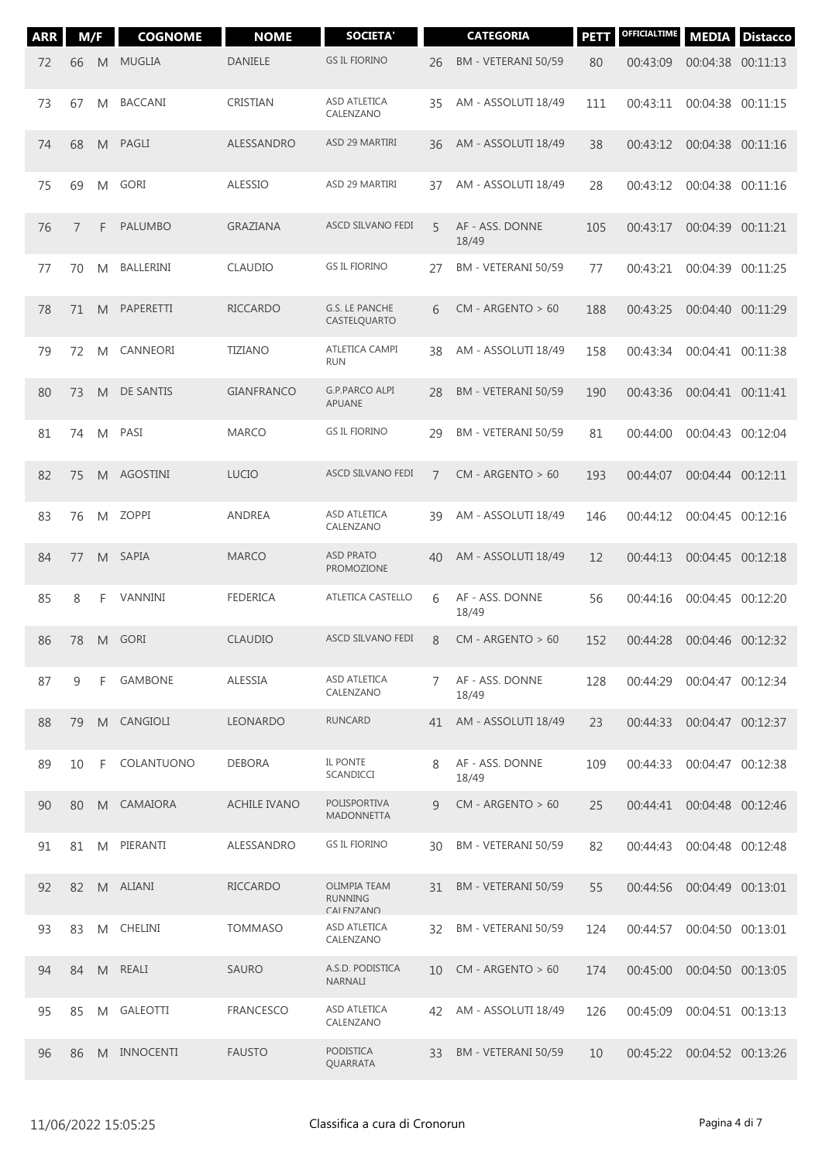| <b>ARR</b> | M/F |   | <b>COGNOME</b>   | <b>NOME</b>         | <b>SOCIETA'</b>                                                           |                | <b>CATEGORIA</b>         | <b>PETT</b> | <b>OFFICIALTIME</b> | <b>MEDIA</b>      | <b>Distacco</b> |
|------------|-----|---|------------------|---------------------|---------------------------------------------------------------------------|----------------|--------------------------|-------------|---------------------|-------------------|-----------------|
| 72         | 66  | M | <b>MUGLIA</b>    | <b>DANIELE</b>      | <b>GS IL FIORINO</b>                                                      | 26             | BM - VETERANI 50/59      | 80          | 00:43:09            | 00:04:38 00:11:13 |                 |
| 73         | 67  | M | <b>BACCANI</b>   | <b>CRISTIAN</b>     | <b>ASD ATLETICA</b><br>CALENZANO                                          | 35             | AM - ASSOLUTI 18/49      | 111         | 00:43:11            | 00:04:38          | 00:11:15        |
| 74         | 68  | M | <b>PAGLI</b>     | ALESSANDRO          | ASD 29 MARTIRI                                                            | 36             | AM - ASSOLUTI 18/49      | 38          | 00:43:12            | 00:04:38 00:11:16 |                 |
| 75         | 69  | M | <b>GORI</b>      | <b>ALESSIO</b>      | ASD 29 MARTIRI                                                            | 37             | AM - ASSOLUTI 18/49      | 28          | 00:43:12            | 00:04:38 00:11:16 |                 |
| 76         | 7   | F | <b>PALUMBO</b>   | <b>GRAZIANA</b>     | ASCD SILVANO FEDI                                                         | 5              | AF - ASS. DONNE<br>18/49 | 105         | 00:43:17            | 00:04:39 00:11:21 |                 |
| 77         | 70  | M | BALLERINI        | <b>CLAUDIO</b>      | <b>GS IL FIORINO</b>                                                      | 27             | BM - VETERANI 50/59      | 77          | 00:43:21            | 00:04:39          | 00:11:25        |
| 78         | 71  | M | PAPERETTI        | <b>RICCARDO</b>     | G.S. LE PANCHE<br>CASTELQUARTO                                            | 6              | $CM - ARGENTO > 60$      | 188         | 00:43:25            | 00:04:40 00:11:29 |                 |
| 79         | 72  | M | CANNEORI         | <b>TIZIANO</b>      | ATLETICA CAMPI<br><b>RUN</b>                                              | 38             | AM - ASSOLUTI 18/49      | 158         | 00:43:34            | 00:04:41 00:11:38 |                 |
| 80         | 73  | M | DE SANTIS        | <b>GIANFRANCO</b>   | <b>G.P.PARCO ALPI</b><br>APUANE                                           | 28             | BM - VETERANI 50/59      | 190         | 00:43:36            | 00:04:41 00:11:41 |                 |
| 81         | 74  | M | PASI             | <b>MARCO</b>        | <b>GS IL FIORINO</b>                                                      | 29             | BM - VETERANI 50/59      | 81          | 00:44:00            | 00:04:43 00:12:04 |                 |
| 82         | 75  | M | <b>AGOSTINI</b>  | <b>LUCIO</b>        | ASCD SILVANO FEDI                                                         | $\overline{7}$ | $CM - ARGENTO > 60$      | 193         | 00:44:07            | 00:04:44 00:12:11 |                 |
| 83         | 76  | M | <b>ZOPPI</b>     | <b>ANDREA</b>       | ASD ATLETICA<br>CALENZANO                                                 | 39             | AM - ASSOLUTI 18/49      | 146         | 00:44:12            | 00:04:45 00:12:16 |                 |
| 84         | 77  | M | <b>SAPIA</b>     | <b>MARCO</b>        | <b>ASD PRATO</b><br>PROMOZIONE                                            | 40             | AM - ASSOLUTI 18/49      | 12          | 00:44:13            | 00:04:45 00:12:18 |                 |
| 85         | 8   | F | VANNINI          | <b>FEDERICA</b>     | <b>ATLETICA CASTELLO</b>                                                  | 6              | AF - ASS. DONNE<br>18/49 | 56          | 00:44:16            | 00:04:45 00:12:20 |                 |
| 86         | 78  |   | M GORI           | <b>CLAUDIO</b>      | ASCD SILVANO FEDI                                                         | 8              | $CM - ARGENTO > 60$      | 152         | 00:44:28            | 00:04:46 00:12:32 |                 |
| 87         | 9   | F | <b>GAMBONE</b>   | ALESSIA             | ASD ATLETICA<br>CALENZANO                                                 | 7              | AF - ASS. DONNE<br>18/49 | 128         | 00:44:29            | 00:04:47 00:12:34 |                 |
| 88         | 79  | M | CANGIOLI         | <b>LEONARDO</b>     | <b>RUNCARD</b>                                                            | 41             | AM - ASSOLUTI 18/49      | 23          | 00:44:33            | 00:04:47 00:12:37 |                 |
| 89         | 10  | F | COLANTUONO       | <b>DEBORA</b>       | IL PONTE<br>SCANDICCI                                                     | 8              | AF - ASS. DONNE<br>18/49 | 109         | 00:44:33            | 00:04:47 00:12:38 |                 |
| 90         | 80  | M | CAMAIORA         | <b>ACHILE IVANO</b> | POLISPORTIVA<br><b>MADONNETTA</b>                                         | $\mathsf{Q}$   | $CM - ARGENTO > 60$      | 25          | 00:44:41            | 00:04:48 00:12:46 |                 |
| 91         | 81  | M | PIERANTI         | ALESSANDRO          | <b>GS IL FIORINO</b>                                                      | 30             | BM - VETERANI 50/59      | 82          | 00:44:43            | 00:04:48 00:12:48 |                 |
| 92         | 82  |   | M ALIANI         | <b>RICCARDO</b>     | <b>OLIMPIA TEAM</b><br><b>RUNNING</b><br>$\cap$ $\Delta$ I FNIZANI $\cap$ | 31             | BM - VETERANI 50/59      | 55          | 00:44:56            | 00:04:49 00:13:01 |                 |
| 93         | 83  | M | CHELINI          | <b>TOMMASO</b>      | ASD ATLETICA<br>CALENZANO                                                 | 32             | BM - VETERANI 50/59      | 124         | 00:44:57            | 00:04:50 00:13:01 |                 |
| 94         | 84  | M | REALI            | <b>SAURO</b>        | A.S.D. PODISTICA<br><b>NARNALI</b>                                        | 10             | $CM - ARGENTO > 60$      | 174         | 00:45:00            | 00:04:50 00:13:05 |                 |
| 95         | 85  | M | <b>GALEOTTI</b>  | <b>FRANCESCO</b>    | ASD ATLETICA<br>CALENZANO                                                 | 42             | AM - ASSOLUTI 18/49      | 126         | 00:45:09            | 00:04:51 00:13:13 |                 |
| 96         | 86  | M | <b>INNOCENTI</b> | <b>FAUSTO</b>       | <b>PODISTICA</b><br>QUARRATA                                              | 33             | BM - VETERANI 50/59      | 10          | 00:45:22            | 00:04:52 00:13:26 |                 |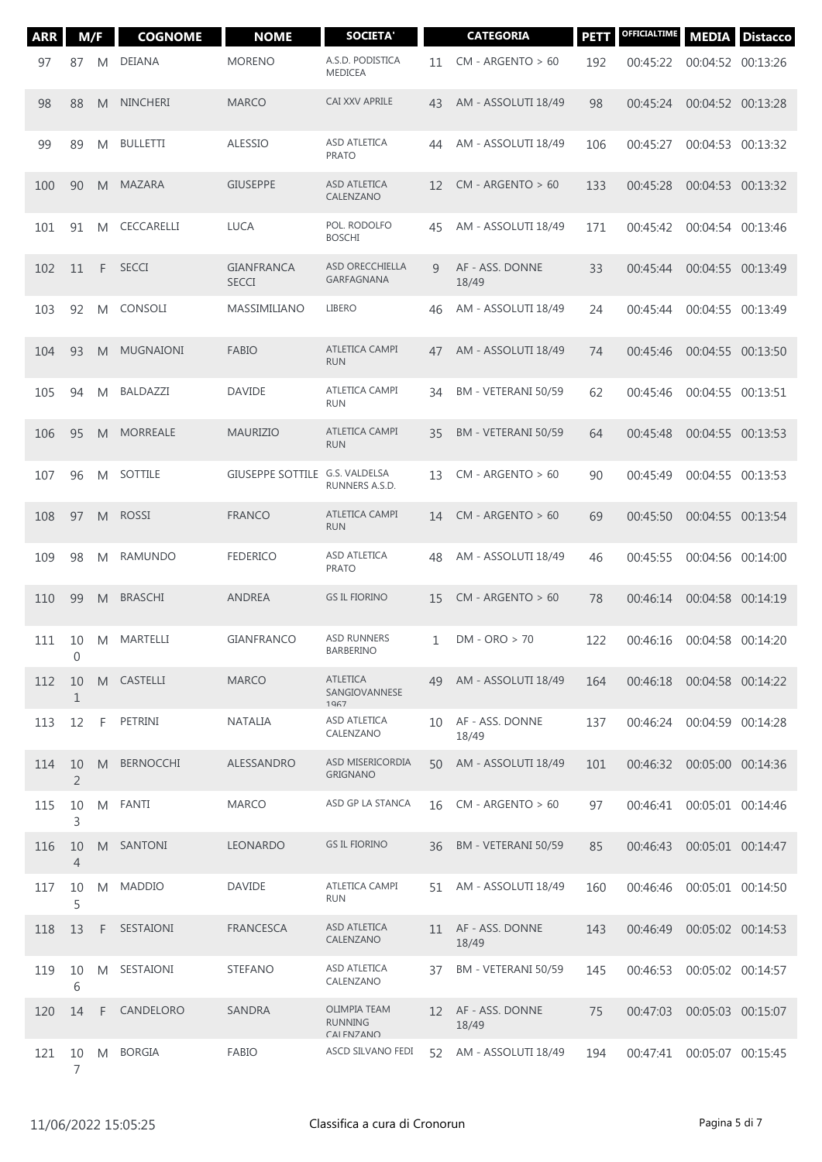| <b>ARR</b> | M/F                  |   | <b>COGNOME</b>   | <b>NOME</b>                       | <b>SOCIETA'</b>                                                                          |    | <b>CATEGORIA</b>         | <b>PETT</b> | <b>OFFICIALTIME</b> | <b>MEDIA</b>      | <b>Distacco</b> |
|------------|----------------------|---|------------------|-----------------------------------|------------------------------------------------------------------------------------------|----|--------------------------|-------------|---------------------|-------------------|-----------------|
| 97         | 87                   | M | DEIANA           | <b>MORENO</b>                     | A.S.D. PODISTICA<br>MEDICEA                                                              | 11 | $CM - ARGENTO > 60$      | 192         | 00:45:22            | 00:04:52 00:13:26 |                 |
| 98         | 88                   | M | <b>NINCHERI</b>  | <b>MARCO</b>                      | <b>CAI XXV APRILE</b>                                                                    | 43 | AM - ASSOLUTI 18/49      | 98          | 00:45:24            | 00:04:52 00:13:28 |                 |
| 99         | 89                   | M | <b>BULLETTI</b>  | <b>ALESSIO</b>                    | ASD ATLETICA<br><b>PRATO</b>                                                             | 44 | AM - ASSOLUTI 18/49      | 106         | 00:45:27            | 00:04:53 00:13:32 |                 |
| 100        | 90                   | M | MAZARA           | <b>GIUSEPPE</b>                   | ASD ATLETICA<br>CALENZANO                                                                | 12 | $CM - ARGENTO > 60$      | 133         | 00:45:28            | 00:04:53 00:13:32 |                 |
| 101        | 91                   | M | CECCARELLI       | <b>LUCA</b>                       | POL. RODOLFO<br><b>BOSCHI</b>                                                            | 45 | AM - ASSOLUTI 18/49      | 171         | 00:45:42            | 00:04:54 00:13:46 |                 |
| 102        | 11                   | F | <b>SECCI</b>     | <b>GIANFRANCA</b><br><b>SECCI</b> | ASD ORECCHIELLA<br>GARFAGNANA                                                            | 9  | AF - ASS. DONNE<br>18/49 | 33          | 00:45:44            | 00:04:55 00:13:49 |                 |
| 103        | 92                   | M | CONSOLI          | MASSIMILIANO                      | LIBERO                                                                                   | 46 | AM - ASSOLUTI 18/49      | 24          | 00:45:44            | 00:04:55 00:13:49 |                 |
| 104        | 93                   | M | <b>MUGNAIONI</b> | <b>FABIO</b>                      | <b>ATLETICA CAMPI</b><br><b>RUN</b>                                                      | 47 | AM - ASSOLUTI 18/49      | 74          | 00:45:46            | 00:04:55 00:13:50 |                 |
| 105        | 94                   | M | BALDAZZI         | <b>DAVIDE</b>                     | ATLETICA CAMPI<br><b>RUN</b>                                                             | 34 | BM - VETERANI 50/59      | 62          | 00:45:46            | 00:04:55 00:13:51 |                 |
| 106        | 95                   | M | <b>MORREALE</b>  | <b>MAURIZIO</b>                   | ATLETICA CAMPI<br><b>RUN</b>                                                             | 35 | BM - VETERANI 50/59      | 64          | 00:45:48            | 00:04:55 00:13:53 |                 |
| 107        | 96                   | M | SOTTILE          | GIUSEPPE SOTTILE G.S. VALDELSA    | RUNNERS A.S.D.                                                                           | 13 | $CM - ARGENTO > 60$      | 90          | 00:45:49            | 00:04:55 00:13:53 |                 |
| 108        | 97                   | M | <b>ROSSI</b>     | <b>FRANCO</b>                     | ATLETICA CAMPI<br><b>RUN</b>                                                             | 14 | $CM - ARGENTO > 60$      | 69          | 00:45:50            | 00:04:55 00:13:54 |                 |
| 109        | 98                   | M | <b>RAMUNDO</b>   | <b>FEDERICO</b>                   | ASD ATLETICA<br><b>PRATO</b>                                                             | 48 | AM - ASSOLUTI 18/49      | 46          | 00:45:55            | 00:04:56 00:14:00 |                 |
| 110        | 99                   | M | <b>BRASCHI</b>   | <b>ANDREA</b>                     | <b>GS IL FIORINO</b>                                                                     | 15 | $CM - ARGENTO > 60$      | 78          | 00:46:14            | 00:04:58 00:14:19 |                 |
| 111        | 10<br>$\mathbf 0$    | M | MARTELLI         | <b>GIANFRANCO</b>                 | ASD RUNNERS<br>BARBERINO                                                                 | 1  | $DM - ORO > 70$          | 122         | 00:46:16            | 00:04:58 00:14:20 |                 |
| 112        | 10<br>$\mathbf 1$    | M | CASTELLI         | <b>MARCO</b>                      | <b>ATLETICA</b><br>SANGIOVANNESE<br>1967                                                 | 49 | AM - ASSOLUTI 18/49      | 164         | 00:46:18            | 00:04:58 00:14:22 |                 |
| 113        | 12                   | F | PETRINI          | <b>NATALIA</b>                    | ASD ATLETICA<br>CALENZANO                                                                | 10 | AF - ASS. DONNE<br>18/49 | 137         | 00:46:24            | 00:04:59 00:14:28 |                 |
| 114        | 10<br>$\overline{2}$ | M | <b>BERNOCCHI</b> | ALESSANDRO                        | ASD MISERICORDIA<br><b>GRIGNANO</b>                                                      | 50 | AM - ASSOLUTI 18/49      | 101         | 00:46:32            | 00:05:00 00:14:36 |                 |
| 115        | 10<br>3              | M | FANTI            | <b>MARCO</b>                      | ASD GP LA STANCA                                                                         | 16 | $CM - ARGENTO > 60$      | 97          | 00:46:41            | 00:05:01 00:14:46 |                 |
| 116        | 10<br>$\overline{4}$ | M | SANTONI          | <b>LEONARDO</b>                   | <b>GS IL FIORINO</b>                                                                     | 36 | BM - VETERANI 50/59      | 85          | 00:46:43            | 00:05:01 00:14:47 |                 |
| 117        | 10<br>5              | M | <b>MADDIO</b>    | <b>DAVIDE</b>                     | ATLETICA CAMPI<br><b>RUN</b>                                                             | 51 | AM - ASSOLUTI 18/49      | 160         | 00:46:46            | 00:05:01 00:14:50 |                 |
| 118        | 13                   | F | SESTAIONI        | <b>FRANCESCA</b>                  | ASD ATLETICA<br>CALENZANO                                                                | 11 | AF - ASS. DONNE<br>18/49 | 143         | 00:46:49            | 00:05:02 00:14:53 |                 |
| 119        | 10<br>6              | M | SESTAIONI        | <b>STEFANO</b>                    | ASD ATLETICA<br>CALENZANO                                                                | 37 | BM - VETERANI 50/59      | 145         | 00:46:53            | 00:05:02 00:14:57 |                 |
| 120        | 14                   | F | CANDELORO        | SANDRA                            | <b>OLIMPIA TEAM</b><br><b>RUNNING</b><br>$\cap$ $\Delta$ I FNI $\cap$ $\Delta$ NI $\cap$ | 12 | AF - ASS. DONNE<br>18/49 | 75          | 00:47:03            | 00:05:03 00:15:07 |                 |
| 121        | 10<br>$\overline{7}$ | M | <b>BORGIA</b>    | <b>FABIO</b>                      | ASCD SILVANO FEDI                                                                        | 52 | AM - ASSOLUTI 18/49      | 194         | 00:47:41            | 00:05:07 00:15:45 |                 |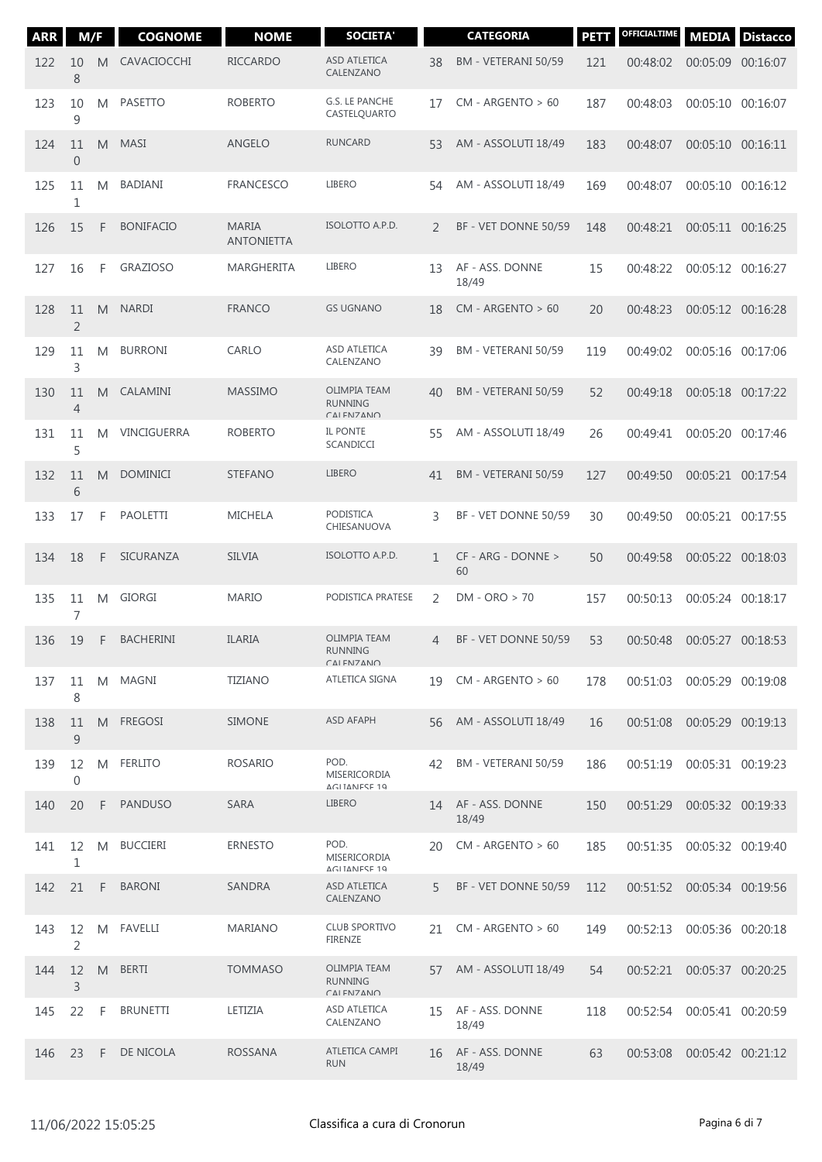| <b>ARR</b> | M/F                    |    | <b>COGNOME</b>   | <b>NOME</b>                       | <b>SOCIETA'</b>                                                                          |                | <b>CATEGORIA</b>         | <b>PETT</b> | <b>OFFICIALTIME</b> | <b>MEDIA</b>               | <b>Distacco</b> |
|------------|------------------------|----|------------------|-----------------------------------|------------------------------------------------------------------------------------------|----------------|--------------------------|-------------|---------------------|----------------------------|-----------------|
| 122        | 10<br>8                | M  | CAVACIOCCHI      | <b>RICCARDO</b>                   | <b>ASD ATLETICA</b><br>CALENZANO                                                         | 38             | BM - VETERANI 50/59      | 121         | 00:48:02            | 00:05:09 00:16:07          |                 |
| 123        | 10<br>9                | M  | <b>PASETTO</b>   | <b>ROBERTO</b>                    | G.S. LE PANCHE<br>CASTELQUARTO                                                           | 17             | $CM - ARGENTO > 60$      | 187         | 00:48:03            | 00:05:10                   | 00:16:07        |
| 124        | 11<br>$\boldsymbol{0}$ | M  | <b>MASI</b>      | <b>ANGELO</b>                     | <b>RUNCARD</b>                                                                           | 53             | AM - ASSOLUTI 18/49      | 183         | 00:48:07            | 00:05:10 00:16:11          |                 |
| 125        | 11<br>1                | M  | <b>BADIANI</b>   | <b>FRANCESCO</b>                  | <b>LIBERO</b>                                                                            | 54             | AM - ASSOLUTI 18/49      | 169         | 00:48:07            | 00:05:10 00:16:12          |                 |
| 126        | 15                     | F  | <b>BONIFACIO</b> | <b>MARIA</b><br><b>ANTONIETTA</b> | ISOLOTTO A.P.D.                                                                          | $\mathcal{L}$  | BF - VET DONNE 50/59     | 148         | 00:48:21            | 00:05:11 00:16:25          |                 |
| 127        | 16                     | F  | <b>GRAZIOSO</b>  | MARGHERITA                        | <b>LIBERO</b>                                                                            | 13             | AF - ASS. DONNE<br>18/49 | 15          | 00:48:22            | 00:05:12 00:16:27          |                 |
| 128        | 11<br>$\overline{2}$   | M  | <b>NARDI</b>     | <b>FRANCO</b>                     | <b>GS UGNANO</b>                                                                         | 18             | $CM - ARGENTO > 60$      | 20          | 00:48:23            | 00:05:12 00:16:28          |                 |
| 129        | 11<br>3                | M  | <b>BURRONI</b>   | CARLO                             | ASD ATLETICA<br>CALENZANO                                                                | 39             | BM - VETERANI 50/59      | 119         | 00:49:02            | 00:05:16 00:17:06          |                 |
| 130        | 11<br>$\overline{4}$   | M  | CALAMINI         | <b>MASSIMO</b>                    | <b>OLIMPIA TEAM</b><br><b>RUNNING</b><br><b>CAI FN7ANO</b>                               | 40             | BM - VETERANI 50/59      | 52          | 00:49:18            | 00:05:18 00:17:22          |                 |
| 131        | 11<br>5                | M  | VINCIGUERRA      | <b>ROBERTO</b>                    | IL PONTE<br>SCANDICCI                                                                    | 55             | AM - ASSOLUTI 18/49      | 26          | 00:49:41            | 00:05:20 00:17:46          |                 |
| 132        | 11<br>6                | M  | <b>DOMINICI</b>  | <b>STEFANO</b>                    | <b>LIBERO</b>                                                                            | 41             | BM - VETERANI 50/59      | 127         | 00:49:50            | 00:05:21 00:17:54          |                 |
| 133        | 17                     | F  | <b>PAOLETTI</b>  | <b>MICHELA</b>                    | <b>PODISTICA</b><br>CHIESANUOVA                                                          | 3              | BF - VET DONNE 50/59     | 30          | 00:49:50            | 00:05:21 00:17:55          |                 |
| 134        | 18                     | F  | SICURANZA        | <b>SILVIA</b>                     | ISOLOTTO A.P.D.                                                                          | $\mathbf{1}$   | CF - ARG - DONNE ><br>60 | 50          | 00:49:58            | 00:05:22 00:18:03          |                 |
| 135        | 11<br>7                | M  | <b>GIORGI</b>    | <b>MARIO</b>                      | PODISTICA PRATESE                                                                        | 2              | $DM - ORO > 70$          | 157         | 00:50:13            | 00:05:24 00:18:17          |                 |
| 136        | 19                     | F  | <b>BACHERINI</b> | <b>ILARIA</b>                     | <b>OLIMPIA TEAM</b><br><b>RUNNING</b><br>$\cap$ $\Delta$ I FNI $\cap$ $\Delta$ NI $\cap$ | $\overline{4}$ | BF - VET DONNE 50/59     | 53          | 00:50:48            | 00:05:27 00:18:53          |                 |
| 137        | 11<br>8                | M  | MAGNI            | <b>TIZIANO</b>                    | ATLETICA SIGNA                                                                           | 19             | $CM - ARGENTO > 60$      | 178         |                     | 00:51:03 00:05:29 00:19:08 |                 |
| 138        | 11<br>$\overline{9}$   | M  | <b>FREGOSI</b>   | <b>SIMONE</b>                     | <b>ASD AFAPH</b>                                                                         | 56             | AM - ASSOLUTI 18/49      | 16          | 00:51:08            | 00:05:29 00:19:13          |                 |
| 139        | 12<br>$\overline{0}$   | M  | <b>FERLITO</b>   | <b>ROSARIO</b>                    | POD.<br>MISERICORDIA<br><b>AGITANESE 19</b>                                              | 42             | BM - VETERANI 50/59      | 186         | 00:51:19            | 00:05:31 00:19:23          |                 |
| 140        | 20                     | F  | <b>PANDUSO</b>   | <b>SARA</b>                       | <b>LIBERO</b>                                                                            | 14             | AF - ASS. DONNE<br>18/49 | 150         | 00:51:29            | 00:05:32 00:19:33          |                 |
| 141        | 12<br>1                | M  | <b>BUCCIERI</b>  | <b>ERNESTO</b>                    | POD.<br>MISERICORDIA<br><b>AGLIANESE 19</b>                                              | 20             | $CM - ARGENTO > 60$      | 185         | 00:51:35            | 00:05:32 00:19:40          |                 |
| 142        | 21                     | F  | <b>BARONI</b>    | SANDRA                            | ASD ATLETICA<br>CALENZANO                                                                | 5              | BF - VET DONNE 50/59     | 112         | 00:51:52            | 00:05:34 00:19:56          |                 |
| 143        | 12<br>$\overline{2}$   | M  | <b>FAVELLI</b>   | <b>MARIANO</b>                    | <b>CLUB SPORTIVO</b><br><b>FIRENZE</b>                                                   | 21             | $CM - ARGENTO > 60$      | 149         | 00:52:13            | 00:05:36 00:20:18          |                 |
| 144        | 12<br>3                | M  | <b>BERTI</b>     | <b>TOMMASO</b>                    | <b>OLIMPIA TEAM</b><br><b>RUNNING</b><br>$\cap$ $\Delta$ I FNIZANI $\cap$                | 57             | AM - ASSOLUTI 18/49      | 54          | 00:52:21            | 00:05:37 00:20:25          |                 |
| 145        | 22                     | F  | <b>BRUNETTI</b>  | LETIZIA                           | ASD ATLETICA<br>CALENZANO                                                                | 15             | AF - ASS. DONNE<br>18/49 | 118         | 00:52:54            | 00:05:41 00:20:59          |                 |
| 146        | 23                     | F. | DE NICOLA        | <b>ROSSANA</b>                    | ATLETICA CAMPI<br><b>RUN</b>                                                             | 16             | AF - ASS. DONNE<br>18/49 | 63          | 00:53:08            | 00:05:42 00:21:12          |                 |